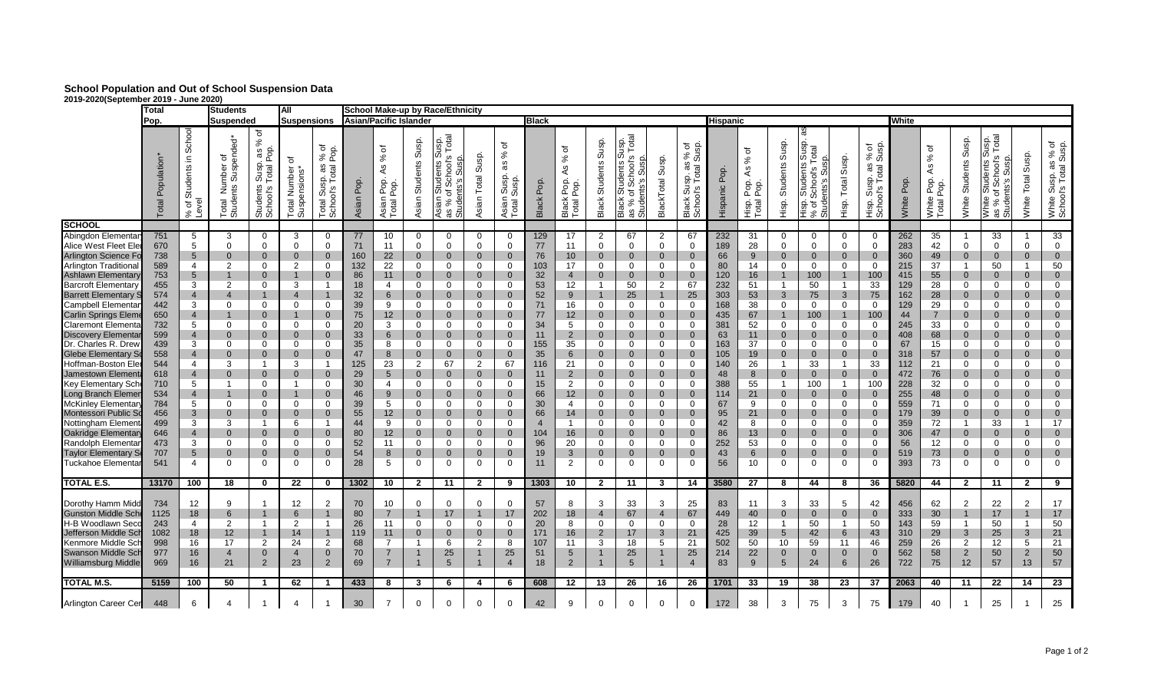## **School Population and Out of School Suspension Data 2019-2020(September 2019 - June 2020)**

|                                                                                                                                                                                                                                                                                                                                                                                                                                                                                                                                                                                                                                    | Total<br>Pop.                                                                                                                                                        |                                                                                                                                                                                                                           | <b>Students</b>                                                                                                                                                                                                                                                                                                   |                                                                                                                                                                                                                                                                                                                     | <b>AII</b>                                                                                                                                                                                                                                                            |                                                                                                                                                                                                                                                                                                                      |                                                                                                                                                 |                                                                                                                                                                                                  |                                                                                                                                                                                                                                                                                                                                                               | School Make-up by Race/Ethnicity                                                                                                                                                                                                                                                                                                          |                                                                                                                                                                                                                                                                                                                                                     |                                                                                                                                                                                                                                                                                                                                                          |                                                                                                                                                               |                                                                                                                                                                                       |                                                                                                                                                                                                                                                                                                               |                                                                                                                                                                                                                                                                                                                                            |                                                                                                                                                                                                                                                                                                                      |                                                                                                                                                                                                                                                                                                                                                       |                                                                                                                                                            |                                                                                                                                         |                                                                                                                                                                                                                                                                                                   |                                                                                                                                                                                                                                                                                                                               |                                                                                                                                                                                                                                     |                                                                                                                                                                                                                                                                                            |                                                                                                                                                                   |                                                                                                                                                          |                                                                                                                                                                                                                                                                                                                                                                             |                                                                                                                                                                                                                                                                                                                                       |                                                                                                                                                                                                                                                                                                                                                       |                                                                                                                                                                                                                                                                                                                                                               |
|------------------------------------------------------------------------------------------------------------------------------------------------------------------------------------------------------------------------------------------------------------------------------------------------------------------------------------------------------------------------------------------------------------------------------------------------------------------------------------------------------------------------------------------------------------------------------------------------------------------------------------|----------------------------------------------------------------------------------------------------------------------------------------------------------------------|---------------------------------------------------------------------------------------------------------------------------------------------------------------------------------------------------------------------------|-------------------------------------------------------------------------------------------------------------------------------------------------------------------------------------------------------------------------------------------------------------------------------------------------------------------|---------------------------------------------------------------------------------------------------------------------------------------------------------------------------------------------------------------------------------------------------------------------------------------------------------------------|-----------------------------------------------------------------------------------------------------------------------------------------------------------------------------------------------------------------------------------------------------------------------|----------------------------------------------------------------------------------------------------------------------------------------------------------------------------------------------------------------------------------------------------------------------------------------------------------------------|-------------------------------------------------------------------------------------------------------------------------------------------------|--------------------------------------------------------------------------------------------------------------------------------------------------------------------------------------------------|---------------------------------------------------------------------------------------------------------------------------------------------------------------------------------------------------------------------------------------------------------------------------------------------------------------------------------------------------------------|-------------------------------------------------------------------------------------------------------------------------------------------------------------------------------------------------------------------------------------------------------------------------------------------------------------------------------------------|-----------------------------------------------------------------------------------------------------------------------------------------------------------------------------------------------------------------------------------------------------------------------------------------------------------------------------------------------------|----------------------------------------------------------------------------------------------------------------------------------------------------------------------------------------------------------------------------------------------------------------------------------------------------------------------------------------------------------|---------------------------------------------------------------------------------------------------------------------------------------------------------------|---------------------------------------------------------------------------------------------------------------------------------------------------------------------------------------|---------------------------------------------------------------------------------------------------------------------------------------------------------------------------------------------------------------------------------------------------------------------------------------------------------------|--------------------------------------------------------------------------------------------------------------------------------------------------------------------------------------------------------------------------------------------------------------------------------------------------------------------------------------------|----------------------------------------------------------------------------------------------------------------------------------------------------------------------------------------------------------------------------------------------------------------------------------------------------------------------|-------------------------------------------------------------------------------------------------------------------------------------------------------------------------------------------------------------------------------------------------------------------------------------------------------------------------------------------------------|------------------------------------------------------------------------------------------------------------------------------------------------------------|-----------------------------------------------------------------------------------------------------------------------------------------|---------------------------------------------------------------------------------------------------------------------------------------------------------------------------------------------------------------------------------------------------------------------------------------------------|-------------------------------------------------------------------------------------------------------------------------------------------------------------------------------------------------------------------------------------------------------------------------------------------------------------------------------|-------------------------------------------------------------------------------------------------------------------------------------------------------------------------------------------------------------------------------------|--------------------------------------------------------------------------------------------------------------------------------------------------------------------------------------------------------------------------------------------------------------------------------------------|-------------------------------------------------------------------------------------------------------------------------------------------------------------------|----------------------------------------------------------------------------------------------------------------------------------------------------------|-----------------------------------------------------------------------------------------------------------------------------------------------------------------------------------------------------------------------------------------------------------------------------------------------------------------------------------------------------------------------------|---------------------------------------------------------------------------------------------------------------------------------------------------------------------------------------------------------------------------------------------------------------------------------------------------------------------------------------|-------------------------------------------------------------------------------------------------------------------------------------------------------------------------------------------------------------------------------------------------------------------------------------------------------------------------------------------------------|---------------------------------------------------------------------------------------------------------------------------------------------------------------------------------------------------------------------------------------------------------------------------------------------------------------------------------------------------------------|
|                                                                                                                                                                                                                                                                                                                                                                                                                                                                                                                                                                                                                                    |                                                                                                                                                                      |                                                                                                                                                                                                                           | <b>Suspended</b>                                                                                                                                                                                                                                                                                                  |                                                                                                                                                                                                                                                                                                                     | <b>Suspensions</b>                                                                                                                                                                                                                                                    |                                                                                                                                                                                                                                                                                                                      |                                                                                                                                                 | <b>Asian/Pacific Islander</b>                                                                                                                                                                    |                                                                                                                                                                                                                                                                                                                                                               |                                                                                                                                                                                                                                                                                                                                           |                                                                                                                                                                                                                                                                                                                                                     | <b>Black</b>                                                                                                                                                                                                                                                                                                                                             |                                                                                                                                                               |                                                                                                                                                                                       |                                                                                                                                                                                                                                                                                                               |                                                                                                                                                                                                                                                                                                                                            |                                                                                                                                                                                                                                                                                                                      |                                                                                                                                                                                                                                                                                                                                                       | <b>Hispanic</b>                                                                                                                                            |                                                                                                                                         |                                                                                                                                                                                                                                                                                                   |                                                                                                                                                                                                                                                                                                                               |                                                                                                                                                                                                                                     |                                                                                                                                                                                                                                                                                            | White                                                                                                                                                             |                                                                                                                                                          |                                                                                                                                                                                                                                                                                                                                                                             |                                                                                                                                                                                                                                                                                                                                       |                                                                                                                                                                                                                                                                                                                                                       |                                                                                                                                                                                                                                                                                                                                                               |
|                                                                                                                                                                                                                                                                                                                                                                                                                                                                                                                                                                                                                                    | Population<br>$\overline{a}$<br>$\overline{O}$                                                                                                                       | School<br>크.<br>Students<br>৳<br>¢<br>$\approx$                                                                                                                                                                           | spended*<br>৳<br>Number<br>nts Susp<br>nts<br>Total<br>Studer                                                                                                                                                                                                                                                     | ৳<br>$\%$<br>Pop.<br>æ<br>Susp.<br>otal<br>Students<br>School's                                                                                                                                                                                                                                                     | ৳<br>Number<br>ensions<br>Total<br>Suspe                                                                                                                                                                                                                              | ৳<br>$\Delta$<br>$\overline{5}$<br>వి<br>αs<br>otal<br>Susp.<br>ol <sub>s</sub><br>Total<br>Scho-                                                                                                                                                                                                                    | Pop<br>SP                                                                                                                                       | đ<br>$\%$<br>Æ<br>Pop.<br>e<br>Po<br>Asian<br>Total F                                                                                                                                            | Susp.<br>Students<br>Asian                                                                                                                                                                                                                                                                                                                                    | iusp.<br>Total<br>ഗ<br>hool'<br>nts<br>ഗ<br>თ 'ნ<br>% है<br>. ಜಿ ಪ                                                                                                                                                                                                                                                                        | Susp.<br>Total<br>Asian                                                                                                                                                                                                                                                                                                                             | ৳<br>వ్<br>æ<br>Susp.<br>Susp.<br>Asian<br>Total <sub>\$</sub>                                                                                                                                                                                                                                                                                           | Pop.<br><b>Black</b>                                                                                                                                          | ৳<br>$\%$<br>4s<br>Pop.<br>poo.<br>Black<br>Total                                                                                                                                     | Susp.<br>Students<br>Black                                                                                                                                                                                                                                                                                    | usp.<br>Total<br>s,s Susn<br>School,s Le<br>Susnes suepn<br>$\bar{\tilde{\sigma}}$ ზ<br>as % as<br>Stude<br>ने अन्ना<br>अन्नाट<br>अ                                                                                                                                                                                                        | Susp.<br>BlackTotal                                                                                                                                                                                                                                                                                                  | ъ<br>မ္တ<br>$\%$<br>శే<br>æ<br>otal<br>Susp.<br>Black Sui<br>School's                                                                                                                                                                                                                                                                                 | Pop<br>Hispanic                                                                                                                                            | ৳<br>వ్<br>4s<br>pop.<br>P<br>P <sub>0</sub><br>Hisp.<br>Total                                                                          | Susp.<br>Students<br>Hisp.                                                                                                                                                                                                                                                                        | <b>Susp</b><br><b>Tal</b><br><b>Students</b><br>S<br>School's<br>udents<br><b>B</b><br>Hisp<br>৳<br>> బే                                                                                                                                                                                                                      | Susp.<br>Total<br>Hisp.                                                                                                                                                                                                             | မ္တ<br>ъ<br>್ದ ತೆ<br>otal<br>Susp.<br>o"o<br>Hisp.<br>Scho                                                                                                                                                                                                                                 | Pop<br>White                                                                                                                                                      | ৳<br>$\%$<br>Αs<br>Pop.<br>Pop<br>White<br>Total                                                                                                         | Susp.<br>Students<br>White                                                                                                                                                                                                                                                                                                                                                  | Total<br>Susp.<br>ഗ<br><b>Students</b><br>hool'<br>5ö<br>U.<br>as % of<br>Student:<br>White                                                                                                                                                                                                                                           | Susp.<br>Total<br>White                                                                                                                                                                                                                                                                                                                               | iite Susp. as % of<br>nool's Total Susp.<br>White<br>Schoo                                                                                                                                                                                                                                                                                                    |
| <b>SCHOOL</b>                                                                                                                                                                                                                                                                                                                                                                                                                                                                                                                                                                                                                      |                                                                                                                                                                      |                                                                                                                                                                                                                           |                                                                                                                                                                                                                                                                                                                   |                                                                                                                                                                                                                                                                                                                     |                                                                                                                                                                                                                                                                       |                                                                                                                                                                                                                                                                                                                      |                                                                                                                                                 |                                                                                                                                                                                                  |                                                                                                                                                                                                                                                                                                                                                               |                                                                                                                                                                                                                                                                                                                                           |                                                                                                                                                                                                                                                                                                                                                     |                                                                                                                                                                                                                                                                                                                                                          |                                                                                                                                                               |                                                                                                                                                                                       |                                                                                                                                                                                                                                                                                                               |                                                                                                                                                                                                                                                                                                                                            |                                                                                                                                                                                                                                                                                                                      |                                                                                                                                                                                                                                                                                                                                                       |                                                                                                                                                            |                                                                                                                                         |                                                                                                                                                                                                                                                                                                   |                                                                                                                                                                                                                                                                                                                               |                                                                                                                                                                                                                                     |                                                                                                                                                                                                                                                                                            |                                                                                                                                                                   |                                                                                                                                                          |                                                                                                                                                                                                                                                                                                                                                                             |                                                                                                                                                                                                                                                                                                                                       |                                                                                                                                                                                                                                                                                                                                                       |                                                                                                                                                                                                                                                                                                                                                               |
| Abingdon Elementar<br>Alice West Fleet Ele<br><b>Arlington Science Fo</b><br>Arlington Traditional<br>Ashlawn Elementary<br><b>Barcroft Elementary</b><br><b>Barrett Elementary</b><br>Campbell Elementa<br><b>Carlin Springs Elem</b><br><b>Claremont Elementa</b><br><b>Discovery Elementa</b><br>Dr. Charles R. Drew<br>Glebe Elementary So<br>Hoffman-Boston Ele<br>Jamestown Elemen<br><b>Key Elementary Sch</b><br><b>Long Branch Elemer</b><br><b>McKinley Elementar</b><br>Montessori Public So<br>Nottingham Elemen<br>Oakridge Elementar<br>Randolph Elementa<br><b>Taylor Elementary S</b><br><b>Tuckahoe Elementar</b> | 751<br>670<br>738<br>589<br>753<br>455<br>574<br>442<br>650<br>732<br>599<br>439<br>558<br>544<br>618<br>710<br>534<br>784<br>456<br>499<br>646<br>473<br>707<br>541 | 5<br>5<br>$5^{\circ}$<br>$\overline{4}$<br>5<br>3<br>$\overline{4}$<br>3<br>4<br>5<br>$\overline{4}$<br>3<br>$\overline{4}$<br>4<br>$\overline{4}$<br>5<br>$\overline{4}$<br>5<br>3<br>3<br>$\overline{4}$<br>3<br>5<br>4 | 3<br>$\Omega$<br>$\mathbf{0}$<br>2<br>$\mathbf{1}$<br>2<br>$\overline{4}$<br>$\Omega$<br>$\mathbf{1}$<br>$\Omega$<br>$\overline{0}$<br>$\mathbf 0$<br>$\overline{0}$<br>3<br>$\Omega$<br>$\mathbf{1}$<br>$\mathbf{1}$<br>$\Omega$<br>$\mathbf{0}$<br>3<br>$\mathbf{0}$<br>$\mathbf{0}$<br>$\Omega$<br>$\mathbf 0$ | $\mathbf{0}$<br>$\Omega$<br>$\mathbf 0$<br>$\Omega$<br>$\mathbf 0$<br>$\Omega$<br>$\mathbf{0}$<br>0<br>$\Omega$<br>$\Omega$<br>$\mathbf{0}$<br>$\Omega$<br>$\mathbf{1}$<br>$\mathbf 0$<br>$\mathbf{0}$<br>$\Omega$<br>$\Omega$<br>$\mathbf 0$<br>-1<br>$\mathbf{0}$<br>$\mathbf{0}$<br>$\mathbf{0}$<br>$\mathbf{0}$ | 3<br>$\mathbf 0$<br>$\mathbf{0}$<br>2<br>3<br>$\overline{4}$<br>$\Omega$<br>$\Omega$<br>$\overline{0}$<br>$\mathbf{0}$<br>$\overline{0}$<br>3<br>$\mathbf{0}$<br>-1<br>$\mathbf{0}$<br>$\mathbf{0}$<br>6<br>$\mathbf{0}$<br>$\mathbf 0$<br>$\overline{0}$<br>$\Omega$ | $\Omega$<br>$\mathbf 0$<br>$\overline{0}$<br>$\Omega$<br>$\mathbf 0$<br>-1<br>$\Omega$<br>$\mathbf 0$<br>$\Omega$<br>$\mathbf 0$<br>$\Omega$<br>$\overline{0}$<br>-1<br>$\overline{0}$<br>$\overline{0}$<br>$\overline{0}$<br>$\Omega$<br>$\overline{0}$<br>-1<br>$\overline{0}$<br>$\Omega$<br>$\Omega$<br>$\Omega$ | 77<br>71<br>160<br>132<br>86<br>18<br>32<br>39<br>75<br>20<br>33<br>35<br>47<br>125<br>29<br>30<br>46<br>39<br>55<br>44<br>80<br>52<br>54<br>28 | 10<br>11<br>22<br>22<br>11<br>4<br>6<br>9<br>12 <sup>°</sup><br>3<br>6<br>8<br>8<br>23<br>$5\overline{)}$<br>$\overline{4}$<br>9<br>5<br>12 <sup>2</sup><br>9<br>12 <sup>2</sup><br>11<br>8<br>5 | $\mathbf{0}$<br>$\Omega$<br>$\mathbf{0}$<br>$\Omega$<br>$\mathbf{0}$<br>$\mathbf{0}$<br>$\overline{0}$<br>$\Omega$<br>$\overline{0}$<br>$\Omega$<br>$\Omega$<br>$\mathbf{0}$<br>$\mathbf{0}$<br>2<br>$\overline{0}$<br>$\mathbf{0}$<br>$\mathbf{0}$<br>$\mathbf{0}$<br>$\mathbf{0}$<br>$\mathbf 0$<br>$\mathbf{0}$<br>$\mathbf{0}$<br>$\Omega$<br>$\mathbf 0$ | $\mathbf{0}$<br>$\mathbf 0$<br>$\mathbf{0}$<br>$\Omega$<br>$\mathbf{0}$<br>0<br>$\overline{0}$<br>$\Omega$<br>$\mathbf 0$<br>$\Omega$<br>$\Omega$<br>$\mathbf{0}$<br>$\Omega$<br>67<br>$\mathbf{0}$<br>$\mathbf{0}$<br>$\mathbf{0}$<br>$\mathbf{0}$<br>$\mathbf 0$<br>$\Omega$<br>$\mathbf 0$<br>$\mathbf{0}$<br>$\Omega$<br>$\mathbf{0}$ | 0<br>$\mathbf 0$<br>$\mathbf 0$<br>$\Omega$<br>$\mathbf{0}$<br>$\Omega$<br>$\Omega$<br>$\Omega$<br>$\overline{0}$<br>$\Omega$<br>$\Omega$<br>$\mathbf{0}$<br>$\overline{0}$<br>$\overline{2}$<br>$\mathbf{0}$<br>$\mathbf 0$<br>$\mathbf{0}$<br>$\mathbf 0$<br>$\mathbf{0}$<br>$\Omega$<br>$\mathbf{0}$<br>$\mathbf{0}$<br>$\Omega$<br>$\mathbf{0}$ | $\mathbf{0}$<br>$\mathbf{0}$<br>$\mathbf{0}$<br>$\Omega$<br>$\mathbf{0}$<br>$\Omega$<br>$\mathbf{0}$<br>$\Omega$<br>$\mathbf{0}$<br>$\Omega$<br>$\Omega$<br>$\mathbf{0}$<br>$\Omega$<br>67<br>$\mathbf{0}$<br>$\mathbf{0}$<br>$\overline{0}$<br>$\mathbf{0}$<br>$\overline{0}$<br>$\Omega$<br>$\overline{0}$<br>$\mathbf{0}$<br>$\Omega$<br>$\mathbf{0}$ | 129<br>77<br>76<br>103<br>32<br>53<br>52<br>71<br>77<br>34<br>11<br>155<br>35<br>116<br>11<br>15<br>66<br>30<br>66<br>$\overline{4}$<br>104<br>96<br>19<br>11 | 17<br>11<br>10<br>17<br>$\overline{4}$<br>12<br>9<br>16<br>12<br>5<br>$\overline{2}$<br>35<br>6<br>21<br>$\overline{2}$<br>2<br>12<br>4<br>14<br>$\overline{1}$<br>16<br>20<br>3<br>2 | 2<br>$\Omega$<br>$\mathbf{0}$<br>$\Omega$<br>$\mathbf{0}$<br>-1<br>$\Omega$<br>$\mathbf 0$<br>$\Omega$<br>$\Omega$<br>$\mathbf{0}$<br>$\Omega$<br>$\Omega$<br>$\mathbf{0}$<br>$\Omega$<br>$\mathbf{0}$<br>$\mathbf 0$<br>$\mathbf{0}$<br>$\Omega$<br>$\mathbf 0$<br>$\Omega$<br>$\overline{0}$<br>$\mathbf 0$ | 67<br>$\Omega$<br>$\overline{0}$<br>$\Omega$<br>$\mathbf{0}$<br>50<br>25<br>$\Omega$<br>$\mathbf{0}$<br>$\Omega$<br>$\mathbf{0}$<br>$\mathbf{0}$<br>$\overline{0}$<br>$\Omega$<br>$\mathbf{0}$<br>$\mathbf{0}$<br>$\mathbf{0}$<br>$\mathbf{0}$<br>$\mathbf{0}$<br>$\Omega$<br>$\mathbf{0}$<br>$\mathbf{0}$<br>$\mathbf{0}$<br>$\mathbf{0}$ | 2<br>$\Omega$<br>$\mathbf{0}$<br>$\Omega$<br>$\mathbf 0$<br>2<br>$\Omega$<br>$\mathbf 0$<br>$\Omega$<br>$\mathbf{0}$<br>$\mathbf 0$<br>$\mathbf{0}$<br>$\Omega$<br>$\mathbf{0}$<br>$\mathbf 0$<br>$\mathbf{0}$<br>$\mathbf 0$<br>$\mathbf 0$<br>$\Omega$<br>$\mathbf 0$<br>$\mathbf 0$<br>$\mathbf 0$<br>$\mathbf 0$ | 67<br>$\mathbf 0$<br>$\mathbf{0}$<br>$\overline{0}$<br>$\overline{0}$<br>67<br>25<br>$\mathbf 0$<br>$\mathbf 0$<br>$\Omega$<br>$\mathbf{0}$<br>$\mathbf 0$<br>$\overline{0}$<br>$\Omega$<br>$\mathbf 0$<br>$\mathbf{0}$<br>$\mathbf 0$<br>$\mathbf{0}$<br>$\overline{0}$<br>$\mathbf 0$<br>$\mathbf{0}$<br>$\mathbf 0$<br>$\mathbf{0}$<br>$\mathbf 0$ | 232<br>189<br>66<br>80<br>120<br>232<br>303<br>168<br>435<br>381<br>63<br>163<br>105<br>140<br>48<br>388<br>114<br>67<br>95<br>42<br>86<br>252<br>43<br>56 | 31<br>28<br>9<br>14<br>16<br>51<br>53<br>38<br>67<br>52<br>11<br>37<br>19<br>26<br>8<br>55<br>21<br>9<br>21<br>8<br>13<br>53<br>6<br>10 | 0<br>$\Omega$<br>$\mathbf{0}$<br>$\Omega$<br>$\mathbf{1}$<br>3<br>$\Omega$<br>$\Omega$<br>$\Omega$<br>$\mathbf{0}$<br>$\Omega$<br>$\mathbf{1}$<br>$\mathbf{0}$<br>$\mathbf{1}$<br>$\mathbf{0}$<br>$\Omega$<br>$\mathbf 0$<br>$\Omega$<br>$\mathbf{0}$<br>$\mathbf{0}$<br>$\Omega$<br>$\mathbf{0}$ | $\mathbf{0}$<br>$\mathbf{0}$<br>$\mathbf 0$<br>$\mathbf{0}$<br>100<br>50<br>75<br>$\mathbf{0}$<br>100<br>$\Omega$<br>$\overline{0}$<br>$\mathbf{0}$<br>$\mathbf{0}$<br>33<br>$\overline{0}$<br>100<br>$\mathbf{0}$<br>$\Omega$<br>$\overline{0}$<br>$\Omega$<br>$\overline{0}$<br>$\mathbf{0}$<br>$\mathbf 0$<br>$\mathbf{0}$ | $\Omega$<br>$\Omega$<br>0<br>$\Omega$<br>3<br>$\Omega$<br>0<br>$\overline{0}$<br>0<br>$\Omega$<br>1<br>$\mathbf 0$<br>$\mathbf 1$<br>$\overline{0}$<br>$\Omega$<br>$\mathbf 0$<br>$\Omega$<br>0<br>$\mathbf{0}$<br>0<br>$\mathbf 0$ | $\mathbf{0}$<br>0<br>$\bf{0}$<br>$\Omega$<br>100<br>33<br>75<br>$\mathbf{0}$<br>100<br>$\mathbf{0}$<br>$\mathbf 0$<br>$\mathbf{0}$<br>$\mathbf{0}$<br>33<br>$\mathbf{0}$<br>100<br>$\mathbf{0}$<br>$\Omega$<br>0<br>$\Omega$<br>$\mathbf 0$<br>$\mathbf{0}$<br>$\mathbf 0$<br>$\mathbf{0}$ | 262<br>283<br>360<br>215<br>415<br>129<br>162<br>129<br>44<br>245<br>408<br>67<br>318<br>112<br>472<br>228<br>255<br>559<br>179<br>359<br>306<br>56<br>519<br>393 | 35<br>42<br>49<br>37<br>55<br>28<br>28<br>29<br>$\overline{7}$<br>33<br>68<br>15<br>57<br>21<br>76<br>32<br>48<br>71<br>39<br>72<br>47<br>12<br>73<br>73 | -1<br>$\overline{0}$<br>$\overline{0}$<br>$\overline{1}$<br>$\overline{0}$<br>$\Omega$<br>$\mathbf{0}$<br>$\Omega$<br>$\overline{0}$<br>$\mathbf{0}$<br>$\overline{0}$<br>$\Omega$<br>$\mathbf{0}$<br>$\Omega$<br>$\mathbf 0$<br>$\mathbf 0$<br>$\overline{0}$<br>$\Omega$<br>$\overline{0}$<br>$\mathbf{1}$<br>$\overline{0}$<br>$\mathbf 0$<br>$\overline{0}$<br>$\Omega$ | 33<br>$\mathbf{0}$<br>$\mathbf{0}$<br>50<br>$\mathbf{0}$<br>$\Omega$<br>0<br>$\mathbf 0$<br>$\mathbf{0}$<br>$\mathbf{0}$<br>$\overline{0}$<br>$\mathbf{0}$<br>$\Omega$<br>$\mathbf 0$<br>$\mathbf{0}$<br>$\mathbf{0}$<br>$\overline{0}$<br>$\Omega$<br>$\mathbf{0}$<br>33<br>$\mathbf{0}$<br>$\mathbf{0}$<br>$\Omega$<br>$\mathbf{0}$ | $\mathbf 0$<br>$\mathbf 0$<br>-1<br>$\mathbf{0}$<br>$\mathbf 0$<br>$\mathbf{0}$<br>$\mathbf 0$<br>$\mathbf{0}$<br>$\mathbf 0$<br>$\mathbf{0}$<br>$\mathbf 0$<br>$\mathbf{0}$<br>$\Omega$<br>$\overline{0}$<br>$\mathbf 0$<br>$\overline{0}$<br>$\Omega$<br>$\mathbf{0}$<br>$\mathbf{1}$<br>$\mathbf{0}$<br>$\mathbf 0$<br>$\mathbf{0}$<br>$\mathbf 0$ | 33<br>$\mathbf 0$<br>$\mathbf{0}$<br>50<br>$\mathbf{0}$<br>$\mathbf 0$<br>$\overline{0}$<br>$\mathbf 0$<br>$\overline{0}$<br>$\mathbf{0}$<br>$\mathbf{0}$<br>$\mathbf 0$<br>$\mathbf{0}$<br>$\mathbf{0}$<br>$\mathbf{0}$<br>$\mathbf 0$<br>$\mathbf{0}$<br>$\mathbf 0$<br>$\mathbf{0}$<br>17<br>$\overline{0}$<br>$\mathbf 0$<br>$\mathbf{0}$<br>$\mathbf{0}$ |
| <b>TOTAL E.S.</b>                                                                                                                                                                                                                                                                                                                                                                                                                                                                                                                                                                                                                  | 13170                                                                                                                                                                | 100                                                                                                                                                                                                                       | 18                                                                                                                                                                                                                                                                                                                | 0                                                                                                                                                                                                                                                                                                                   | 22                                                                                                                                                                                                                                                                    | 0                                                                                                                                                                                                                                                                                                                    | 1302                                                                                                                                            | 10                                                                                                                                                                                               | $\mathbf{2}$                                                                                                                                                                                                                                                                                                                                                  | 11                                                                                                                                                                                                                                                                                                                                        | $\mathbf{2}$                                                                                                                                                                                                                                                                                                                                        | 9                                                                                                                                                                                                                                                                                                                                                        | 1303                                                                                                                                                          | 10                                                                                                                                                                                    | $\mathbf{2}$                                                                                                                                                                                                                                                                                                  | 11                                                                                                                                                                                                                                                                                                                                         | 3                                                                                                                                                                                                                                                                                                                    | 14                                                                                                                                                                                                                                                                                                                                                    | 3580                                                                                                                                                       | 27                                                                                                                                      | 8                                                                                                                                                                                                                                                                                                 | 44                                                                                                                                                                                                                                                                                                                            | 8                                                                                                                                                                                                                                   | 36                                                                                                                                                                                                                                                                                         | 5820                                                                                                                                                              | 44                                                                                                                                                       | $\mathbf{2}$                                                                                                                                                                                                                                                                                                                                                                | -11                                                                                                                                                                                                                                                                                                                                   | $\mathbf{2}$                                                                                                                                                                                                                                                                                                                                          | 9                                                                                                                                                                                                                                                                                                                                                             |
| Dorothy Hamm Midd<br><b>Gunston Middle Sch</b><br>H-B Woodlawn Seco<br>Jefferson Middle Scl<br>Kenmore Middle Scl<br><b>Swanson Middle Sch</b><br><b>Williamsburg Middle</b>                                                                                                                                                                                                                                                                                                                                                                                                                                                       | 734<br>1125<br>243<br>1082<br>998<br>977<br>969                                                                                                                      | 12<br>18<br>4<br>18<br>16<br>16<br>16                                                                                                                                                                                     | 9<br>6<br>2<br>12<br>17<br>$\overline{4}$<br>21                                                                                                                                                                                                                                                                   | -1<br>$\mathbf 1$<br>$\overline{1}$<br>$\mathbf{1}$<br>2<br>$\mathbf{0}$<br>2                                                                                                                                                                                                                                       | 12 <sup>°</sup><br>6<br>2<br>14<br>24<br>$\overline{4}$<br>23                                                                                                                                                                                                         | 2<br>$\overline{\mathbf{1}}$<br>$\overline{2}$<br>$\overline{0}$<br>$\overline{2}$                                                                                                                                                                                                                                   | 70<br>80<br>26<br>119<br>68<br>70<br>69                                                                                                         | 10<br>$\overline{7}$<br>11<br>11<br>$\overline{7}$<br>$\overline{7}$<br>$\overline{7}$                                                                                                           | $\mathbf{0}$<br>$\mathbf{1}$<br>$\Omega$<br>$\overline{0}$<br>-1<br>-1                                                                                                                                                                                                                                                                                        | $\mathbf{0}$<br>17<br>$\Omega$<br>$\mathbf 0$<br>6<br>25<br>$\overline{5}$                                                                                                                                                                                                                                                                | $\mathbf{0}$<br>$\mathbf 0$<br>$\mathbf{0}$<br>2                                                                                                                                                                                                                                                                                                    | $\Omega$<br>17<br>$\Omega$<br>$\overline{0}$<br>8<br>25<br>$\overline{4}$                                                                                                                                                                                                                                                                                | 57<br>202<br>20<br>171<br>107<br>51<br>18                                                                                                                     | 8<br>18<br>8<br>16<br>11<br>5<br>2                                                                                                                                                    | 3<br>$\overline{4}$<br>$\Omega$<br>2<br>3                                                                                                                                                                                                                                                                     | 33<br>67<br>$\Omega$<br>17<br>18<br>25<br>5                                                                                                                                                                                                                                                                                                | 3<br>$\overline{4}$<br>$\Omega$<br>3<br>5                                                                                                                                                                                                                                                                            | 25<br>67<br>$\overline{0}$<br>21<br>21<br>25<br>$\overline{4}$                                                                                                                                                                                                                                                                                        | 83<br>449<br>28<br>425<br>502<br>214<br>83                                                                                                                 | 11<br>40<br>12<br>39<br>50<br>22<br>9                                                                                                   | 3<br>$\overline{0}$<br>$\mathbf{1}$<br>5 <sup>5</sup><br>10<br>$\overline{0}$<br>5                                                                                                                                                                                                                | 33<br>$\overline{0}$<br>50<br>42<br>59<br>$\overline{0}$<br>24                                                                                                                                                                                                                                                                | 5<br>$\Omega$<br>-1<br>6<br>11<br>$\overline{0}$<br>6                                                                                                                                                                               | 42<br>$\mathbf{0}$<br>50<br>43<br>46<br>0<br>26                                                                                                                                                                                                                                            | 456<br>333<br>143<br>310<br>259<br>562<br>722                                                                                                                     | 62<br>30<br>59<br>29<br>26<br>58<br>75                                                                                                                   | 2<br>1<br>$\overline{1}$<br>3<br>2<br>$\overline{2}$<br>12                                                                                                                                                                                                                                                                                                                  | 22<br>17<br>50<br>25<br>12<br>50<br>57                                                                                                                                                                                                                                                                                                | 2<br>$\mathbf{1}$<br>$\overline{1}$<br>$\mathbf{3}$<br>5<br>$\overline{2}$<br>13                                                                                                                                                                                                                                                                      | 17<br>17<br>50<br>21<br>21<br>50<br>57                                                                                                                                                                                                                                                                                                                        |
| <b>TOTAL M.S.</b>                                                                                                                                                                                                                                                                                                                                                                                                                                                                                                                                                                                                                  | 5159                                                                                                                                                                 | 100                                                                                                                                                                                                                       | 50                                                                                                                                                                                                                                                                                                                | -1                                                                                                                                                                                                                                                                                                                  | 62                                                                                                                                                                                                                                                                    |                                                                                                                                                                                                                                                                                                                      | 433                                                                                                                                             | 8                                                                                                                                                                                                | 3                                                                                                                                                                                                                                                                                                                                                             | 6                                                                                                                                                                                                                                                                                                                                         | 4                                                                                                                                                                                                                                                                                                                                                   | 6                                                                                                                                                                                                                                                                                                                                                        | 608                                                                                                                                                           | 12                                                                                                                                                                                    | 13                                                                                                                                                                                                                                                                                                            | 26                                                                                                                                                                                                                                                                                                                                         | 16                                                                                                                                                                                                                                                                                                                   | -26                                                                                                                                                                                                                                                                                                                                                   | 1701                                                                                                                                                       | 33                                                                                                                                      | 19                                                                                                                                                                                                                                                                                                | 38                                                                                                                                                                                                                                                                                                                            | 23                                                                                                                                                                                                                                  | 37                                                                                                                                                                                                                                                                                         | 2063                                                                                                                                                              | 40                                                                                                                                                       | 11                                                                                                                                                                                                                                                                                                                                                                          | 22                                                                                                                                                                                                                                                                                                                                    | 14                                                                                                                                                                                                                                                                                                                                                    | $\overline{23}$                                                                                                                                                                                                                                                                                                                                               |
| Arlington Career Cer                                                                                                                                                                                                                                                                                                                                                                                                                                                                                                                                                                                                               | 448                                                                                                                                                                  | 6                                                                                                                                                                                                                         |                                                                                                                                                                                                                                                                                                                   |                                                                                                                                                                                                                                                                                                                     |                                                                                                                                                                                                                                                                       |                                                                                                                                                                                                                                                                                                                      | 30                                                                                                                                              | $\overline{7}$                                                                                                                                                                                   | $\mathbf 0$                                                                                                                                                                                                                                                                                                                                                   | $\Omega$                                                                                                                                                                                                                                                                                                                                  | $\Omega$                                                                                                                                                                                                                                                                                                                                            | $\Omega$                                                                                                                                                                                                                                                                                                                                                 | 42                                                                                                                                                            | 9                                                                                                                                                                                     | $\Omega$                                                                                                                                                                                                                                                                                                      | $\mathbf 0$                                                                                                                                                                                                                                                                                                                                | $\mathbf 0$                                                                                                                                                                                                                                                                                                          | $\mathbf{0}$                                                                                                                                                                                                                                                                                                                                          | 172                                                                                                                                                        | 38                                                                                                                                      | 3                                                                                                                                                                                                                                                                                                 | 75                                                                                                                                                                                                                                                                                                                            | 3                                                                                                                                                                                                                                   | 75                                                                                                                                                                                                                                                                                         | 179                                                                                                                                                               | 40                                                                                                                                                       |                                                                                                                                                                                                                                                                                                                                                                             | 25                                                                                                                                                                                                                                                                                                                                    |                                                                                                                                                                                                                                                                                                                                                       | 25                                                                                                                                                                                                                                                                                                                                                            |